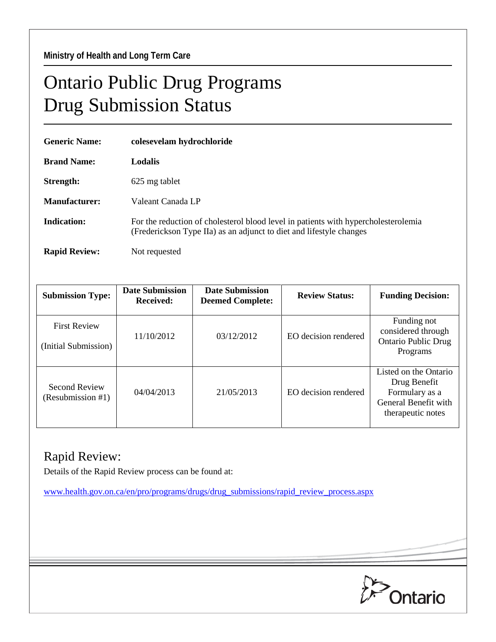## Ontario Public Drug Programs Drug Submission Status

| <b>Generic Name:</b> | colesevelam hydrochloride                                                                                                                                 |  |  |
|----------------------|-----------------------------------------------------------------------------------------------------------------------------------------------------------|--|--|
| <b>Brand Name:</b>   | <b>Lodalis</b>                                                                                                                                            |  |  |
| Strength:            | 625 mg tablet                                                                                                                                             |  |  |
| <b>Manufacturer:</b> | Valeant Canada LP                                                                                                                                         |  |  |
| <b>Indication:</b>   | For the reduction of cholesterol blood level in patients with hypercholesterolemia<br>(Frederickson Type IIa) as an adjunct to diet and lifestyle changes |  |  |
| <b>Rapid Review:</b> | Not requested                                                                                                                                             |  |  |

| <b>Submission Type:</b>                     | <b>Date Submission</b><br><b>Received:</b> | <b>Date Submission</b><br><b>Deemed Complete:</b> | <b>Review Status:</b> | <b>Funding Decision:</b>                                                                             |
|---------------------------------------------|--------------------------------------------|---------------------------------------------------|-----------------------|------------------------------------------------------------------------------------------------------|
| <b>First Review</b><br>(Initial Submission) | 11/10/2012                                 | 03/12/2012                                        | EO decision rendered  | Funding not<br>considered through<br><b>Ontario Public Drug</b><br>Programs                          |
| <b>Second Review</b><br>(Resubmission #1)   | 04/04/2013                                 | 21/05/2013                                        | EO decision rendered  | Listed on the Ontario<br>Drug Benefit<br>Formulary as a<br>General Benefit with<br>therapeutic notes |

## Rapid Review:

Details of the Rapid Review process can be found at:

[www.health.gov.on.ca/en/pro/programs/drugs/drug\\_submissions/rapid\\_review\\_process.aspx](http://www.health.gov.on.ca/en/pro/programs/drugs/drug_submissions/rapid_review_process.aspx)